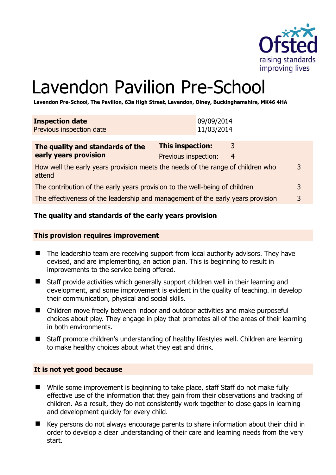

# Lavendon Pavilion Pre-School

**Lavendon Pre-School, The Pavilion, 63a High Street, Lavendon, Olney, Buckinghamshire, MK46 4HA** 

| <b>Inspection date</b><br>Previous inspection date                                             | 09/09/2014<br>11/03/2014                                  |   |
|------------------------------------------------------------------------------------------------|-----------------------------------------------------------|---|
| The quality and standards of the<br>early years provision                                      | <b>This inspection:</b><br>3<br>Previous inspection:<br>4 |   |
| 3<br>How well the early years provision meets the needs of the range of children who<br>attend |                                                           |   |
| The contribution of the early years provision to the well-being of children                    |                                                           | 3 |
| The effectiveness of the leadership and management of the early years provision                |                                                           | 3 |

# **The quality and standards of the early years provision**

#### **This provision requires improvement**

- The leadership team are receiving support from local authority advisors. They have devised, and are implementing, an action plan. This is beginning to result in improvements to the service being offered.
- Staff provide activities which generally support children well in their learning and development, and some improvement is evident in the quality of teaching. in develop their communication, physical and social skills.
- Children move freely between indoor and outdoor activities and make purposeful choices about play. They engage in play that promotes all of the areas of their learning in both environments.
- Staff promote children's understanding of healthy lifestyles well. Children are learning to make healthy choices about what they eat and drink.

#### **It is not yet good because**

- While some improvement is beginning to take place, staff Staff do not make fully effective use of the information that they gain from their observations and tracking of children. As a result, they do not consistently work together to close gaps in learning and development quickly for every child.
- Key persons do not always encourage parents to share information about their child in order to develop a clear understanding of their care and learning needs from the very start.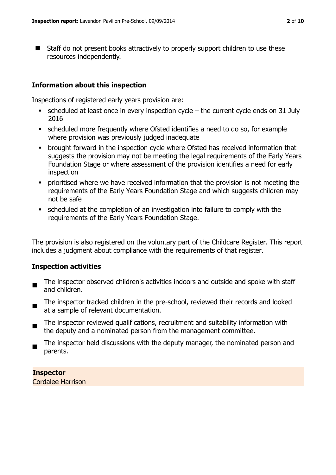■ Staff do not present books attractively to properly support children to use these resources independently.

# **Information about this inspection**

Inspections of registered early years provision are:

- scheduled at least once in every inspection cycle the current cycle ends on 31 July 2016
- scheduled more frequently where Ofsted identifies a need to do so, for example where provision was previously judged inadequate
- brought forward in the inspection cycle where Ofsted has received information that suggests the provision may not be meeting the legal requirements of the Early Years Foundation Stage or where assessment of the provision identifies a need for early inspection
- prioritised where we have received information that the provision is not meeting the requirements of the Early Years Foundation Stage and which suggests children may not be safe
- scheduled at the completion of an investigation into failure to comply with the requirements of the Early Years Foundation Stage.

The provision is also registered on the voluntary part of the Childcare Register. This report includes a judgment about compliance with the requirements of that register.

# **Inspection activities**

- The inspector observed children's activities indoors and outside and spoke with staff and children.
- $\blacksquare$ The inspector tracked children in the pre-school, reviewed their records and looked at a sample of relevant documentation.
- $\blacksquare$ The inspector reviewed qualifications, recruitment and suitability information with the deputy and a nominated person from the management committee.
- The inspector held discussions with the deputy manager, the nominated person and parents.

# **Inspector**

Cordalee Harrison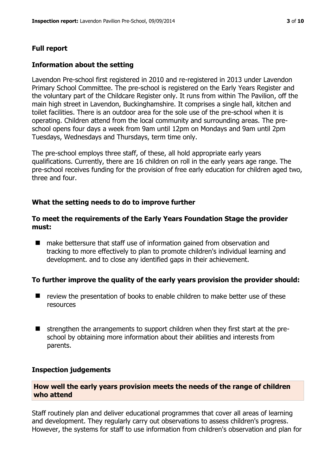## **Full report**

#### **Information about the setting**

Lavendon Pre-school first registered in 2010 and re-registered in 2013 under Lavendon Primary School Committee. The pre-school is registered on the Early Years Register and the voluntary part of the Childcare Register only. It runs from within The Pavilion, off the main high street in Lavendon, Buckinghamshire. It comprises a single hall, kitchen and toilet facilities. There is an outdoor area for the sole use of the pre-school when it is operating. Children attend from the local community and surrounding areas. The preschool opens four days a week from 9am until 12pm on Mondays and 9am until 2pm Tuesdays, Wednesdays and Thursdays, term time only.

The pre-school employs three staff, of these, all hold appropriate early years qualifications. Currently, there are 16 children on roll in the early years age range. The pre-school receives funding for the provision of free early education for children aged two, three and four.

#### **What the setting needs to do to improve further**

## **To meet the requirements of the Early Years Foundation Stage the provider must:**

■ make bettersure that staff use of information gained from observation and tracking to more effectively to plan to promote children's individual learning and development. and to close any identified gaps in their achievement.

#### **To further improve the quality of the early years provision the provider should:**

- $\blacksquare$  review the presentation of books to enable children to make better use of these resources
- $\blacksquare$  strengthen the arrangements to support children when they first start at the preschool by obtaining more information about their abilities and interests from parents.

#### **Inspection judgements**

# **How well the early years provision meets the needs of the range of children who attend**

Staff routinely plan and deliver educational programmes that cover all areas of learning and development. They regularly carry out observations to assess children's progress. However, the systems for staff to use information from children's observation and plan for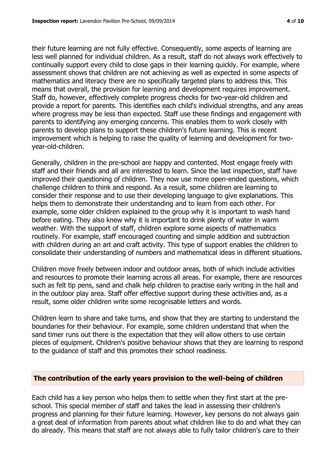their future learning are not fully effective. Consequently, some aspects of learning are less well planned for individual children. As a result, staff do not always work effectively to continually support every child to close gaps in their learning quickly. For example, where assessment shows that children are not achieving as well as expected in some aspects of mathematics and literacy there are no specifically targeted plans to address this. This means that overall, the provision for learning and development requires improvement. Staff do, however, effectively complete progress checks for two-year-old children and provide a report for parents. This identifies each child's individual strengths, and any areas where progress may be less than expected. Staff use these findings and engagement with parents to identifying any emerging concerns. This enables them to work closely with parents to develop plans to support these children's future learning. This is recent improvement which is helping to raise the quality of learning and development for twoyear-old-children.

Generally, children in the pre-school are happy and contented. Most engage freely with staff and their friends and all are interested to learn. Since the last inspection, staff have improved their questioning of children. They now use more open-ended questions, which challenge children to think and respond. As a result, some children are learning to consider their response and to use their developing language to give explanations. This helps them to demonstrate their understanding and to learn from each other. For example, some older children explained to the group why it is important to wash hand before eating. They also knew why it is important to drink plenty of water in warm weather. With the support of staff, children explore some aspects of mathematics routinely. For example, staff encouraged counting and simple addition and subtraction with children during an art and craft activity. This type of support enables the children to consolidate their understanding of numbers and mathematical ideas in different situations.

Children move freely between indoor and outdoor areas, both of which include activities and resources to promote their learning across all areas. For example, there are resources such as felt tip pens, sand and chalk help children to practise early writing in the hall and in the outdoor play area. Staff offer effective support during these activities and, as a result, some older children write some recognisable letters and words.

Children learn to share and take turns, and show that they are starting to understand the boundaries for their behaviour. For example, some children understand that when the sand timer runs out there is the expectation that they will allow others to use certain pieces of equipment. Children's positive behaviour shows that they are learning to respond to the guidance of staff and this promotes their school readiness.

# **The contribution of the early years provision to the well-being of children**

Each child has a key person who helps them to settle when they first start at the preschool. This special member of staff and takes the lead in assessing their children's progress and planning for their future learning. However, key persons do not always gain a great deal of information from parents about what children like to do and what they can do already. This means that staff are not always able to fully tailor children's care to their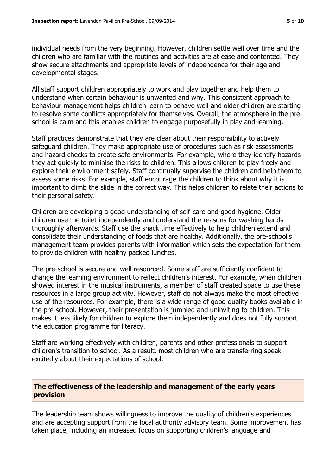individual needs from the very beginning. However, children settle well over time and the children who are familiar with the routines and activities are at ease and contented. They show secure attachments and appropriate levels of independence for their age and developmental stages.

All staff support children appropriately to work and play together and help them to understand when certain behaviour is unwanted and why. This consistent approach to behaviour management helps children learn to behave well and older children are starting to resolve some conflicts appropriately for themselves. Overall, the atmosphere in the preschool is calm and this enables children to engage purposefully in play and learning.

Staff practices demonstrate that they are clear about their responsibility to actively safeguard children. They make appropriate use of procedures such as risk assessments and hazard checks to create safe environments. For example, where they identify hazards they act quickly to mininise the risks to children. This allows children to play freely and explore their environment safely. Staff continually supervise the children and help them to assess some risks. For example, staff encourage the children to think about why it is important to climb the slide in the correct way. This helps children to relate their actions to their personal safety.

Children are developing a good understanding of self-care and good hygiene. Older children use the toilet independently and understand the reasons for washing hands thoroughly afterwards. Staff use the snack time effectively to help children extend and consolidate their understanding of foods that are healthy. Additionally, the pre-school's management team provides parents with information which sets the expectation for them to provide children with healthy packed lunches.

The pre-school is secure and well resourced. Some staff are sufficiently confident to change the learning environment to reflect children's interest. For example, when children showed interest in the musical instruments, a member of staff created space to use these resources in a large group activity. However, staff do not always make the most effective use of the resources. For example, there is a wide range of good quality books available in the pre-school. However, their presentation is jumbled and uninviting to children. This makes it less likely for children to explore them independently and does not fully support the education programme for literacy.

Staff are working effectively with children, parents and other professionals to support children's transition to school. As a result, most children who are transferring speak excitedly about their expectations of school.

# **The effectiveness of the leadership and management of the early years provision**

The leadership team shows willingness to improve the quality of children's experiences and are accepting support from the local authority advisory team. Some improvement has taken place, including an increased focus on supporting children's language and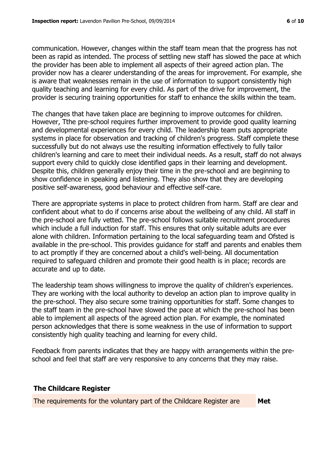communication. However, changes within the staff team mean that the progress has not been as rapid as intended. The process of settling new staff has slowed the pace at which the provider has been able to implement all aspects of their agreed action plan. The provider now has a clearer understanding of the areas for improvement. For example, she is aware that weaknesses remain in the use of information to support consistently high quality teaching and learning for every child. As part of the drive for improvement, the provider is securing training opportunities for staff to enhance the skills within the team.

The changes that have taken place are beginning to improve outcomes for children. However, Tthe pre-school requires further improvement to provide good quality learning and developmental experiences for every child. The leadership team puts appropriate systems in place for observation and tracking of children's progress. Staff complete these successfully but do not always use the resulting information effectively to fully tailor children's learning and care to meet their individual needs. As a result, staff do not always support every child to quickly close identified gaps in their learning and development. Despite this, children generally enjoy their time in the pre-school and are beginning to show confidence in speaking and listening. They also show that they are developing positive self-awareness, good behaviour and effective self-care.

There are appropriate systems in place to protect children from harm. Staff are clear and confident about what to do if concerns arise about the wellbeing of any child. All staff in the pre-school are fully vetted. The pre-school follows suitable recruitment procedures which include a full induction for staff. This ensures that only suitable adults are ever alone with children. Information pertaining to the local safeguarding team and Ofsted is available in the pre-school. This provides guidance for staff and parents and enables them to act promptly if they are concerned about a child's well-being. All documentation required to safeguard children and promote their good health is in place; records are accurate and up to date.

The leadership team shows willingness to improve the quality of children's experiences. They are working with the local authority to develop an action plan to improve quality in the pre-school. They also secure some training opportunities for staff. Some changes to the staff team in the pre-school have slowed the pace at which the pre-school has been able to implement all aspects of the agreed action plan. For example, the nominated person acknowledges that there is some weakness in the use of information to support consistently high quality teaching and learning for every child.

Feedback from parents indicates that they are happy with arrangements within the preschool and feel that staff are very responsive to any concerns that they may raise.

# **The Childcare Register**

The requirements for the voluntary part of the Childcare Register are **Met**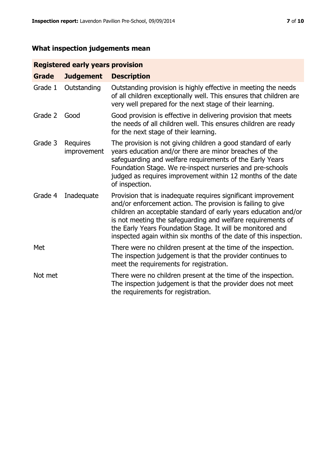# **What inspection judgements mean**

# **Registered early years provision**

| <b>Grade</b> | <b>Judgement</b>               | <b>Description</b>                                                                                                                                                                                                                                                                                                                                                                                |
|--------------|--------------------------------|---------------------------------------------------------------------------------------------------------------------------------------------------------------------------------------------------------------------------------------------------------------------------------------------------------------------------------------------------------------------------------------------------|
| Grade 1      | Outstanding                    | Outstanding provision is highly effective in meeting the needs<br>of all children exceptionally well. This ensures that children are<br>very well prepared for the next stage of their learning.                                                                                                                                                                                                  |
| Grade 2      | Good                           | Good provision is effective in delivering provision that meets<br>the needs of all children well. This ensures children are ready<br>for the next stage of their learning.                                                                                                                                                                                                                        |
| Grade 3      | <b>Requires</b><br>improvement | The provision is not giving children a good standard of early<br>years education and/or there are minor breaches of the<br>safeguarding and welfare requirements of the Early Years<br>Foundation Stage. We re-inspect nurseries and pre-schools<br>judged as requires improvement within 12 months of the date<br>of inspection.                                                                 |
| Grade 4      | Inadequate                     | Provision that is inadequate requires significant improvement<br>and/or enforcement action. The provision is failing to give<br>children an acceptable standard of early years education and/or<br>is not meeting the safeguarding and welfare requirements of<br>the Early Years Foundation Stage. It will be monitored and<br>inspected again within six months of the date of this inspection. |
| Met          |                                | There were no children present at the time of the inspection.<br>The inspection judgement is that the provider continues to<br>meet the requirements for registration.                                                                                                                                                                                                                            |
| Not met      |                                | There were no children present at the time of the inspection.<br>The inspection judgement is that the provider does not meet<br>the requirements for registration.                                                                                                                                                                                                                                |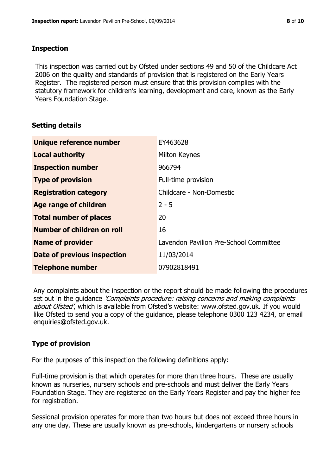# **Inspection**

This inspection was carried out by Ofsted under sections 49 and 50 of the Childcare Act 2006 on the quality and standards of provision that is registered on the Early Years Register. The registered person must ensure that this provision complies with the statutory framework for children's learning, development and care, known as the Early Years Foundation Stage.

# **Setting details**

| Unique reference number            | EY463628                               |
|------------------------------------|----------------------------------------|
| <b>Local authority</b>             | Milton Keynes                          |
| <b>Inspection number</b>           | 966794                                 |
| <b>Type of provision</b>           | Full-time provision                    |
| <b>Registration category</b>       | Childcare - Non-Domestic               |
| Age range of children              | $2 - 5$                                |
| <b>Total number of places</b>      | 20                                     |
| Number of children on roll         | 16                                     |
| <b>Name of provider</b>            | Lavendon Pavilion Pre-School Committee |
| <b>Date of previous inspection</b> | 11/03/2014                             |
| <b>Telephone number</b>            | 07902818491                            |

Any complaints about the inspection or the report should be made following the procedures set out in the guidance *'Complaints procedure: raising concerns and making complaints* about Ofsted', which is available from Ofsted's website: www.ofsted.gov.uk. If you would like Ofsted to send you a copy of the guidance, please telephone 0300 123 4234, or email enquiries@ofsted.gov.uk.

# **Type of provision**

For the purposes of this inspection the following definitions apply:

Full-time provision is that which operates for more than three hours. These are usually known as nurseries, nursery schools and pre-schools and must deliver the Early Years Foundation Stage. They are registered on the Early Years Register and pay the higher fee for registration.

Sessional provision operates for more than two hours but does not exceed three hours in any one day. These are usually known as pre-schools, kindergartens or nursery schools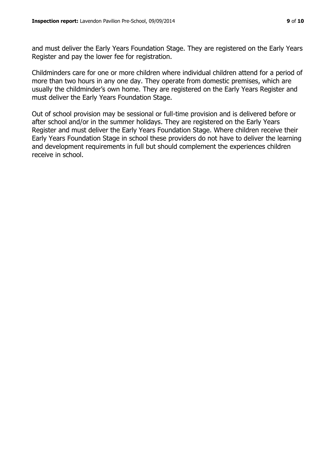and must deliver the Early Years Foundation Stage. They are registered on the Early Years Register and pay the lower fee for registration.

Childminders care for one or more children where individual children attend for a period of more than two hours in any one day. They operate from domestic premises, which are usually the childminder's own home. They are registered on the Early Years Register and must deliver the Early Years Foundation Stage.

Out of school provision may be sessional or full-time provision and is delivered before or after school and/or in the summer holidays. They are registered on the Early Years Register and must deliver the Early Years Foundation Stage. Where children receive their Early Years Foundation Stage in school these providers do not have to deliver the learning and development requirements in full but should complement the experiences children receive in school.